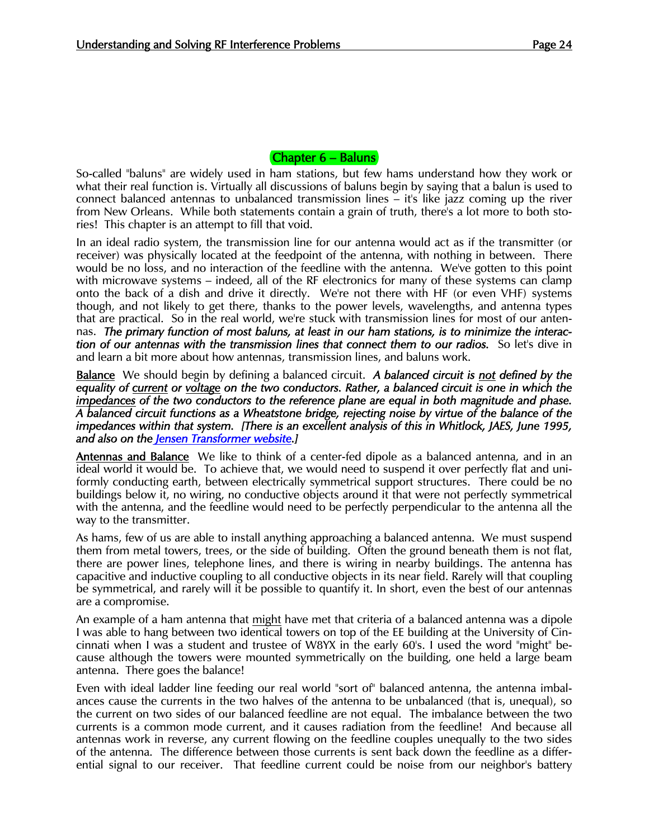## Chapter 6 – Baluns

So-called "baluns" are widely used in ham stations, but few hams understand how they work or what their real function is. Virtually all discussions of baluns begin by saying that a balun is used to connect balanced antennas to unbalanced transmission lines – it's like jazz coming up the river from New Orleans. While both statements contain a grain of truth, there's a lot more to both stories! This chapter is an attempt to fill that void.

In an ideal radio system, the transmission line for our antenna would act as if the transmitter (or receiver) was physically located at the feedpoint of the antenna, with nothing in between. There would be no loss, and no interaction of the feedline with the antenna. We've gotten to this point with microwave systems – indeed, all of the RF electronics for many of these systems can clamp onto the back of a dish and drive it directly. We're not there with HF (or even VHF) systems though, and not likely to get there, thanks to the power levels, wavelengths, and antenna types that are practical. So in the real world, we're stuck with transmission lines for most of our antennas. *The primary function of most baluns, at least in our ham stations, is to minimize the interaction of our antennas with the transmission lines that connect them to our radios.* So let's dive in and learn a bit more about how antennas, transmission lines, and baluns work.

Balance We should begin by defining a balanced circuit. *A balanced circuit is not defined by the equality of current or voltage on the two conductors. Rather, a balanced circuit is one in which the impedances of the two conductors to the reference plane are equal in both magnitude and phase. A balanced circuit functions as a Wheatstone bridge, rejecting noise by virtue of the balance of the impedances within that system. [There is an excellent analysis of this in Whitlock, JAES, June 1995, and also on the Jensen Transformer website.]* 

Antennas and Balance We like to think of a center-fed dipole as a balanced antenna, and in an ideal world it would be. To achieve that, we would need to suspend it over perfectly flat and uniformly conducting earth, between electrically symmetrical support structures. There could be no buildings below it, no wiring, no conductive objects around it that were not perfectly symmetrical with the antenna, and the feedline would need to be perfectly perpendicular to the antenna all the way to the transmitter.

As hams, few of us are able to install anything approaching a balanced antenna. We must suspend them from metal towers, trees, or the side of building. Often the ground beneath them is not flat, there are power lines, telephone lines, and there is wiring in nearby buildings. The antenna has capacitive and inductive coupling to all conductive objects in its near field. Rarely will that coupling be symmetrical, and rarely will it be possible to quantify it. In short, even the best of our antennas are a compromise.

An example of a ham antenna that <u>might</u> have met that criteria of a balanced antenna was a dipole I was able to hang between two identical towers on top of the EE building at the University of Cincinnati when I was a student and trustee of W8YX in the early 60's. I used the word "might" because although the towers were mounted symmetrically on the building, one held a large beam antenna. There goes the balance!

Even with ideal ladder line feeding our real world "sort of" balanced antenna, the antenna imbalances cause the currents in the two halves of the antenna to be unbalanced (that is, unequal), so the current on two sides of our balanced feedline are not equal. The imbalance between the two currents is a common mode current, and it causes radiation from the feedline! And because all antennas work in reverse, any current flowing on the feedline couples unequally to the two sides of the antenna. The difference between those currents is sent back down the feedline as a differential signal to our receiver. That feedline current could be noise from our neighbor's battery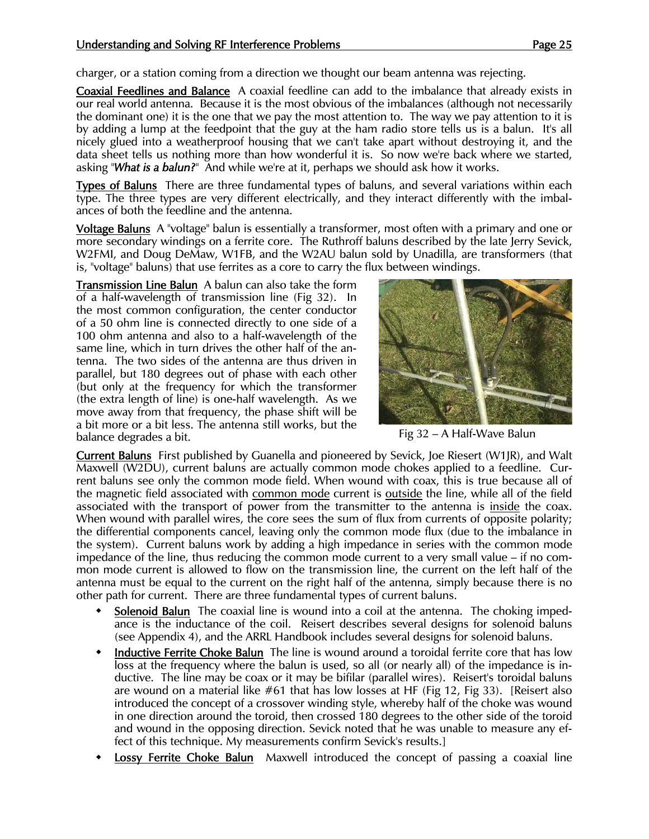charger, or a station coming from a direction we thought our beam antenna was rejecting.

Coaxial Feedlines and Balance A coaxial feedline can add to the imbalance that already exists in our real world antenna. Because it is the most obvious of the imbalances (although not necessarily the dominant one) it is the one that we pay the most attention to. The way we pay attention to it is by adding a lump at the feedpoint that the guy at the ham radio store tells us is a balun. It's all nicely glued into a weatherproof housing that we can't take apart without destroying it, and the data sheet tells us nothing more than how wonderful it is. So now we're back where we started, asking "*What is a balun?*" And while we're at it, perhaps we should ask how it works.

Types of Baluns There are three fundamental types of baluns, and several variations within each type. The three types are very different electrically, and they interact differently with the imbalances of both the feedline and the antenna.

Voltage Baluns A "voltage" balun is essentially a transformer, most often with a primary and one or more secondary windings on a ferrite core. The Ruthroff baluns described by the late Jerry Sevick, W2FMI, and Doug DeMaw, W1FB, and the W2AU balun sold by Unadilla, are transformers (that is, "voltage" baluns) that use ferrites as a core to carry the flux between windings.

Transmission Line Balun A balun can also take the form of a half-wavelength of transmission line (Fig 32). In the most common configuration, the center conductor of a 50 ohm line is connected directly to one side of a 100 ohm antenna and also to a half-wavelength of the same line, which in turn drives the other half of the antenna. The two sides of the antenna are thus driven in parallel, but 180 degrees out of phase with each other (but only at the frequency for which the transformer (the extra length of line) is one-half wavelength. As we move away from that frequency, the phase shift will be a bit more or a bit less. The antenna still works, but the balance degrades a bit. The anti-material can consider the set are set as Fig 32 – A Half-Wave Balun



Current Baluns First published by Guanella and pioneered by Sevick, Joe Riesert (W1JR), and Walt Maxwell (W2DU), current baluns are actually common mode chokes applied to a feedline. Current baluns see only the common mode field. When wound with coax, this is true because all of the magnetic field associated with common mode current is outside the line, while all of the field associated with the transport of power from the transmitter to the antenna is inside the coax. When wound with parallel wires, the core sees the sum of flux from currents of opposite polarity; the differential components cancel, leaving only the common mode flux (due to the imbalance in the system). Current baluns work by adding a high impedance in series with the common mode impedance of the line, thus reducing the common mode current to a very small value – if no common mode current is allowed to flow on the transmission line, the current on the left half of the antenna must be equal to the current on the right half of the antenna, simply because there is no other path for current. There are three fundamental types of current baluns.

- Solenoid Balun The coaxial line is wound into a coil at the antenna. The choking impedance is the inductance of the coil. Reisert describes several designs for solenoid baluns (see Appendix 4), and the ARRL Handbook includes several designs for solenoid baluns.
- Inductive Ferrite Choke Balun The line is wound around a toroidal ferrite core that has low loss at the frequency where the balun is used, so all (or nearly all) of the impedance is inductive. The line may be coax or it may be bifilar (parallel wires). Reisert's toroidal baluns are wound on a material like #61 that has low losses at HF (Fig 12, Fig 33). [Reisert also introduced the concept of a crossover winding style, whereby half of the choke was wound in one direction around the toroid, then crossed 180 degrees to the other side of the toroid and wound in the opposing direction. Sevick noted that he was unable to measure any effect of this technique. My measurements confirm Sevick's results.]
- Lossy Ferrite Choke Balun Maxwell introduced the concept of passing a coaxial line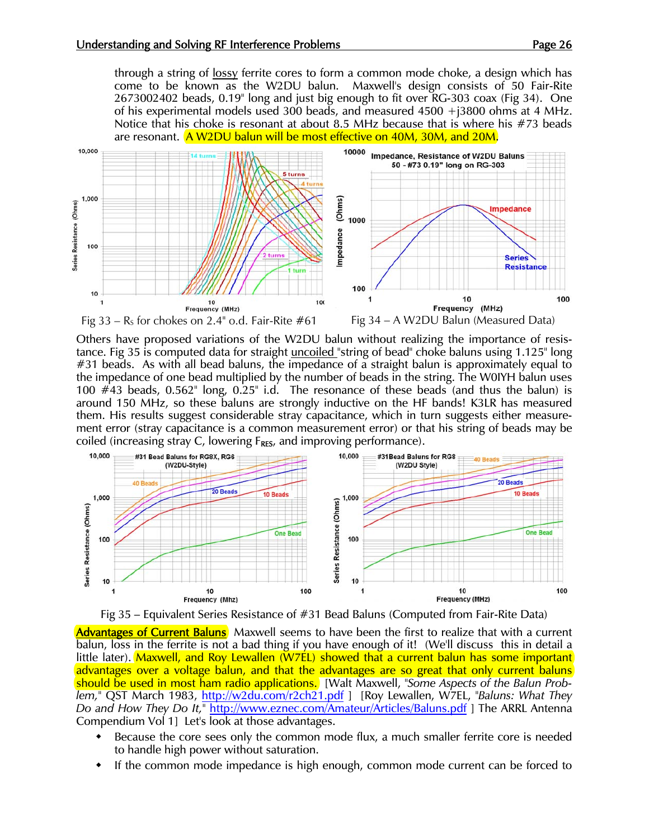through a string of <u>lossy</u> ferrite cores to form a common mode choke, a design which has come to be known as the W2DU balun. Maxwell's design consists of 50 Fair-Rite 2673002402 beads, 0.19" long and just big enough to fit over RG-303 coax (Fig 34). One of his experimental models used 300 beads, and measured 4500 +j3800 ohms at 4 MHz. Notice that his choke is resonant at about 8.5 MHz because that is where his #73 beads are resonant. A W2DU balun will be most effective on 40M, 30M, and 20M.



Others have proposed variations of the W2DU balun without realizing the importance of resistance. Fig 35 is computed data for straight uncoiled "string of bead" choke baluns using 1.125" long #31 beads. As with all bead baluns, the impedance of a straight balun is approximately equal to the impedance of one bead multiplied by the number of beads in the string. The W0IYH balun uses 100  $\#$ 43 beads, 0.562" long, 0.25" i.d. The resonance of these beads (and thus the balun) is around 150 MHz, so these baluns are strongly inductive on the HF bands! K3LR has measured them. His results suggest considerable stray capacitance, which in turn suggests either measurement error (stray capacitance is a common measurement error) or that his string of beads may be coiled (increasing stray C, lowering  $F_{RES}$ , and improving performance).





Advantages of Current Baluns<sup></sup> Maxwell seems to have been the first to realize that with a current balun, loss in the ferrite is not a bad thing if you have enough of it! (We'll discuss this in detail a little later). Maxwell, and Roy Lewallen (W7EL) showed that a current balun has some important advantages over a voltage balun, and that the advantages are so great that only current baluns should be used in most ham radio applications. [Walt Maxwell, *"Some Aspects of the Balun Problem,"* QST March 1983, http://w2du.com/r2ch21.pdf ] [Roy Lewallen, W7EL, *"Baluns: What They Do and How They Do It,"* http://www.eznec.com/Amateur/Articles/Baluns.pdf ] The ARRL Antenna Compendium Vol 1] Let's look at those advantages.

- Because the core sees only the common mode flux, a much smaller ferrite core is needed to handle high power without saturation.
- If the common mode impedance is high enough, common mode current can be forced to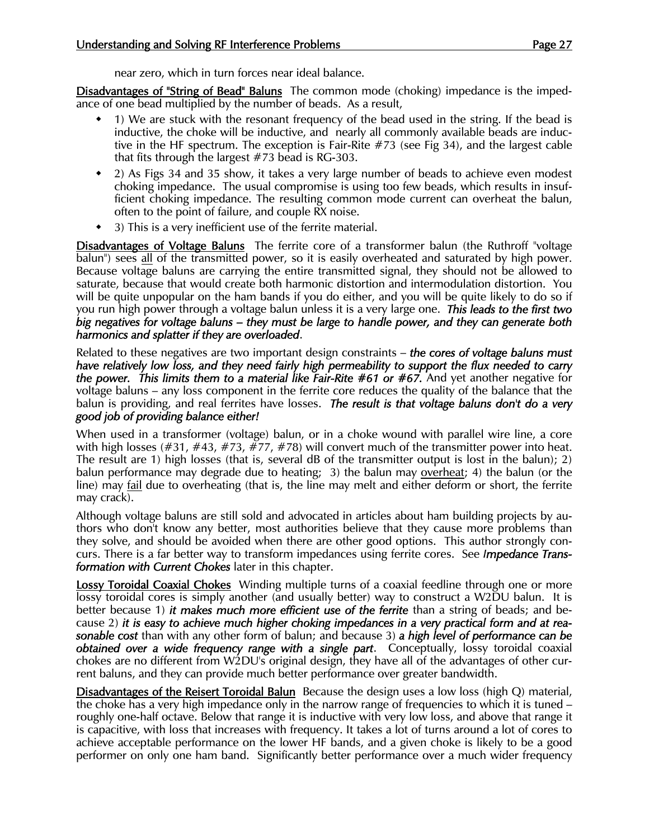near zero, which in turn forces near ideal balance.

Disadvantages of "String of Bead" Baluns The common mode (choking) impedance is the impedance of one bead multiplied by the number of beads. As a result,

- 1) We are stuck with the resonant frequency of the bead used in the string. If the bead is inductive, the choke will be inductive, and nearly all commonly available beads are inductive in the HF spectrum. The exception is Fair-Rite #73 (see Fig 34), and the largest cable that fits through the largest #73 bead is RG-303.
- 2) As Figs 34 and 35 show, it takes a very large number of beads to achieve even modest choking impedance. The usual compromise is using too few beads, which results in insufficient choking impedance. The resulting common mode current can overheat the balun, often to the point of failure, and couple RX noise.
- 3) This is a very inefficient use of the ferrite material.

Disadvantages of Voltage Baluns The ferrite core of a transformer balun (the Ruthroff "voltage balun") sees all of the transmitted power, so it is easily overheated and saturated by high power. Because voltage baluns are carrying the entire transmitted signal, they should not be allowed to saturate, because that would create both harmonic distortion and intermodulation distortion. You will be quite unpopular on the ham bands if you do either, and you will be quite likely to do so if you run high power through a voltage balun unless it is a very large one. *This leads to the first two big negatives for voltage baluns – they must be large to handle power, and they can generate both harmonics and splatter if they are overloaded*.

Related to these negatives are two important design constraints – *the cores of voltage baluns must have relatively low loss, and they need fairly high permeability to support the flux needed to carry the power. This limits them to a material like Fair-Rite #61 or #67.* And yet another negative for voltage baluns – any loss component in the ferrite core reduces the quality of the balance that the balun is providing, and real ferrites have losses. *The result is that voltage baluns don't do a very good job of providing balance either!* 

When used in a transformer (voltage) balun, or in a choke wound with parallel wire line, a core with high losses (#31, #43, #73, #77, #78) will convert much of the transmitter power into heat. The result are 1) high losses (that is, several dB of the transmitter output is lost in the balun); 2) balun performance may degrade due to heating; 3) the balun may overheat; 4) the balun (or the line) may fail due to overheating (that is, the line may melt and either deform or short, the ferrite may crack).

Although voltage baluns are still sold and advocated in articles about ham building projects by authors who don't know any better, most authorities believe that they cause more problems than they solve, and should be avoided when there are other good options. This author strongly concurs. There is a far better way to transform impedances using ferrite cores. See *Impedance Transformation with Current Chokes* later in this chapter.

Lossy Toroidal Coaxial Chokes Winding multiple turns of a coaxial feedline through one or more lossy toroidal cores is simply another (and usually better) way to construct a W2DU balun. It is better because 1) *it makes much more efficient use of the ferrite* than a string of beads; and because 2) *it is easy to achieve much higher choking impedances in a very practical form and at reasonable cost* than with any other form of balun; and because 3) *a high level of performance can be obtained over a wide frequency range with a single part*. Conceptually, lossy toroidal coaxial chokes are no different from W2DU's original design, they have all of the advantages of other current baluns, and they can provide much better performance over greater bandwidth.

Disadvantages of the Reisert Toroidal Balun Because the design uses a low loss (high Q) material, the choke has a very high impedance only in the narrow range of frequencies to which it is tuned – roughly one-half octave. Below that range it is inductive with very low loss, and above that range it is capacitive, with loss that increases with frequency. It takes a lot of turns around a lot of cores to achieve acceptable performance on the lower HF bands, and a given choke is likely to be a good performer on only one ham band. Significantly better performance over a much wider frequency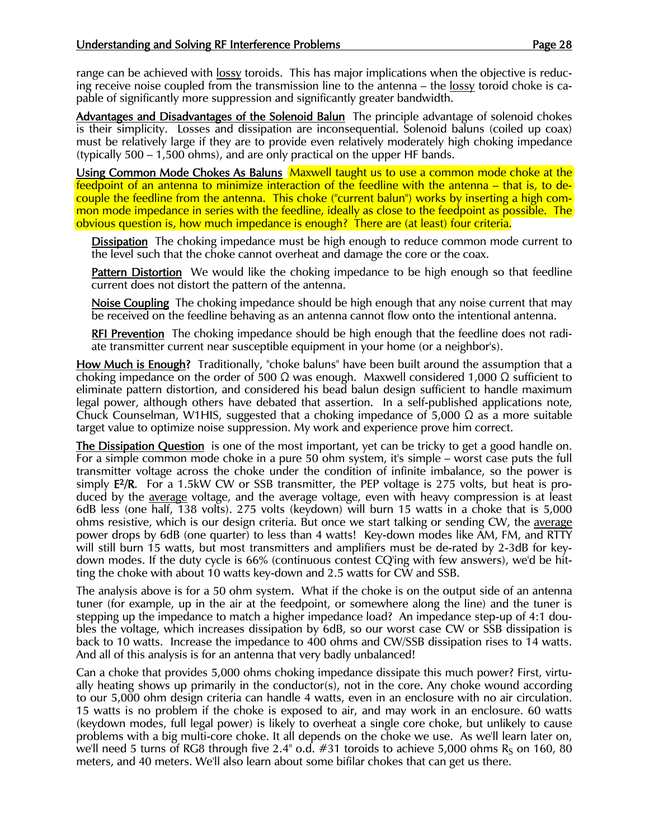range can be achieved with lossy toroids. This has major implications when the objective is reducing receive noise coupled from the transmission line to the antenna – the lossy toroid choke is capable of significantly more suppression and significantly greater bandwidth.

Advantages and Disadvantages of the Solenoid Balun The principle advantage of solenoid chokes is their simplicity. Losses and dissipation are inconsequential. Solenoid baluns (coiled up coax) must be relatively large if they are to provide even relatively moderately high choking impedance (typically 500 – 1,500 ohms), and are only practical on the upper HF bands.

Using Common Mode Chokes As Baluns Maxwell taught us to use a common mode choke at the feedpoint of an antenna to minimize interaction of the feedline with the antenna – that is, to decouple the feedline from the antenna. This choke ("current balun") works by inserting a high common mode impedance in series with the feedline, ideally as close to the feedpoint as possible. The obvious question is, how much impedance is enough? There are (at least) four criteria.

**Dissipation** The choking impedance must be high enough to reduce common mode current to the level such that the choke cannot overheat and damage the core or the coax.

**Pattern Distortion** We would like the choking impedance to be high enough so that feedline current does not distort the pattern of the antenna.

Noise Coupling The choking impedance should be high enough that any noise current that may be received on the feedline behaving as an antenna cannot flow onto the intentional antenna.

**RFI Prevention** The choking impedance should be high enough that the feedline does not radiate transmitter current near susceptible equipment in your home (or a neighbor's).

How Much is Enough? Traditionally, "choke baluns" have been built around the assumption that a choking impedance on the order of 500  $\Omega$  was enough. Maxwell considered 1,000  $\Omega$  sufficient to eliminate pattern distortion, and considered his bead balun design sufficient to handle maximum legal power, although others have debated that assertion. In a self-published applications note, Chuck Counselman, W1HIS, suggested that a choking impedance of 5,000  $\Omega$  as a more suitable target value to optimize noise suppression. My work and experience prove him correct.

The Dissipation Question is one of the most important, yet can be tricky to get a good handle on. For a simple common mode choke in a pure 50 ohm system, it's simple – worst case puts the full transmitter voltage across the choke under the condition of infinite imbalance, so the power is simply E2/R. For a 1.5kW CW or SSB transmitter, the PEP voltage is 275 volts, but heat is produced by the average voltage, and the average voltage, even with heavy compression is at least 6dB less (one half, 138 volts). 275 volts (keydown) will burn 15 watts in a choke that is 5,000 ohms resistive, which is our design criteria. But once we start talking or sending CW, the average power drops by 6dB (one quarter) to less than 4 watts! Key-down modes like AM, FM, and RTTY will still burn 15 watts, but most transmitters and amplifiers must be de-rated by 2-3dB for keydown modes. If the duty cycle is 66% (continuous contest CQ'ing with few answers), we'd be hitting the choke with about 10 watts key-down and 2.5 watts for CW and SSB.

The analysis above is for a 50 ohm system. What if the choke is on the output side of an antenna tuner (for example, up in the air at the feedpoint, or somewhere along the line) and the tuner is stepping up the impedance to match a higher impedance load? An impedance step-up of 4:1 doubles the voltage, which increases dissipation by 6dB, so our worst case CW or SSB dissipation is back to 10 watts. Increase the impedance to 400 ohms and CW/SSB dissipation rises to 14 watts. And all of this analysis is for an antenna that very badly unbalanced!

Can a choke that provides 5,000 ohms choking impedance dissipate this much power? First, virtually heating shows up primarily in the conductor(s), not in the core. Any choke wound according to our 5,000 ohm design criteria can handle 4 watts, even in an enclosure with no air circulation. 15 watts is no problem if the choke is exposed to air, and may work in an enclosure. 60 watts (keydown modes, full legal power) is likely to overheat a single core choke, but unlikely to cause problems with a big multi-core choke. It all depends on the choke we use. As we'll learn later on, we'll need 5 turns of RG8 through five  $2.4^{\circ}$  o.d. #31 toroids to achieve 5,000 ohms R<sub>S</sub> on 160, 80 meters, and 40 meters. We'll also learn about some bifilar chokes that can get us there.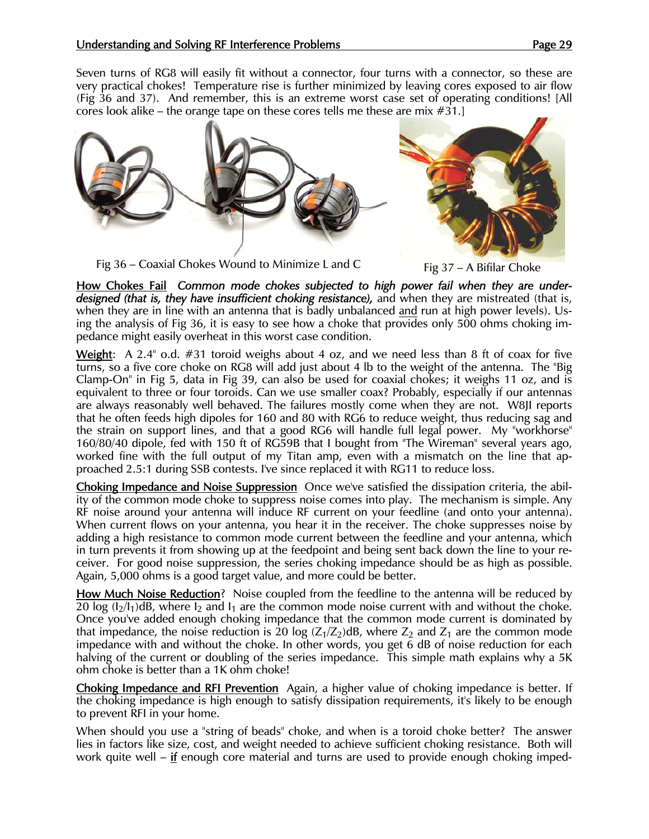Seven turns of RG8 will easily fit without a connector, four turns with a connector, so these are very practical chokes! Temperature rise is further minimized by leaving cores exposed to air flow (Fig 36 and 37). And remember, this is an extreme worst case set of operating conditions! [All cores look alike – the orange tape on these cores tells me these are mix #31.]



Fig 36 – Coaxial Chokes Wound to Minimize L and C Fig  $37 - A$  Bifilar Choke



How Chokes Fail *Common mode chokes subjected to high power fail when they are underdesigned (that is, they have insufficient choking resistance),* and when they are mistreated (that is, when they are in line with an antenna that is badly unbalanced and run at high power levels). Using the analysis of Fig 36, it is easy to see how a choke that provides only 500 ohms choking impedance might easily overheat in this worst case condition.

**Weight:** A 2.4" o.d.  $\#31$  toroid weighs about 4 oz, and we need less than 8 ft of coax for five turns, so a five core choke on RG8 will add just about 4 lb to the weight of the antenna. The "Big Clamp-On" in Fig 5, data in Fig 39, can also be used for coaxial chokes; it weighs 11 oz, and is equivalent to three or four toroids. Can we use smaller coax? Probably, especially if our antennas are always reasonably well behaved. The failures mostly come when they are not. W8JI reports that he often feeds high dipoles for 160 and 80 with RG6 to reduce weight, thus reducing sag and the strain on support lines, and that a good RG6 will handle full legal power. My "workhorse" 160/80/40 dipole, fed with 150 ft of RG59B that I bought from "The Wireman" several years ago, worked fine with the full output of my Titan amp, even with a mismatch on the line that approached 2.5:1 during SSB contests. I've since replaced it with RG11 to reduce loss.

Choking Impedance and Noise Suppression Once we've satisfied the dissipation criteria, the ability of the common mode choke to suppress noise comes into play. The mechanism is simple. Any RF noise around your antenna will induce RF current on your feedline (and onto your antenna). When current flows on your antenna, you hear it in the receiver. The choke suppresses noise by adding a high resistance to common mode current between the feedline and your antenna, which in turn prevents it from showing up at the feedpoint and being sent back down the line to your receiver. For good noise suppression, the series choking impedance should be as high as possible. Again, 5,000 ohms is a good target value, and more could be better.

How Much Noise Reduction? Noise coupled from the feedline to the antenna will be reduced by 20 log  $(I_2/I_1)$ dB, where  $I_2$  and  $I_1$  are the common mode noise current with and without the choke. Once you've added enough choking impedance that the common mode current is dominated by that impedance, the noise reduction is 20 log  $(Z_1/Z_2)$ dB, where  $Z_2$  and  $Z_1$  are the common mode impedance with and without the choke. In other words, you get 6 dB of noise reduction for each halving of the current or doubling of the series impedance. This simple math explains why a 5K ohm choke is better than a 1K ohm choke!

Choking Impedance and RFI Prevention Again, a higher value of choking impedance is better. If the choking impedance is high enough to satisfy dissipation requirements, it's likely to be enough to prevent RFI in your home.

When should you use a "string of beads" choke, and when is a toroid choke better? The answer lies in factors like size, cost, and weight needed to achieve sufficient choking resistance. Both will work quite well – if enough core material and turns are used to provide enough choking imped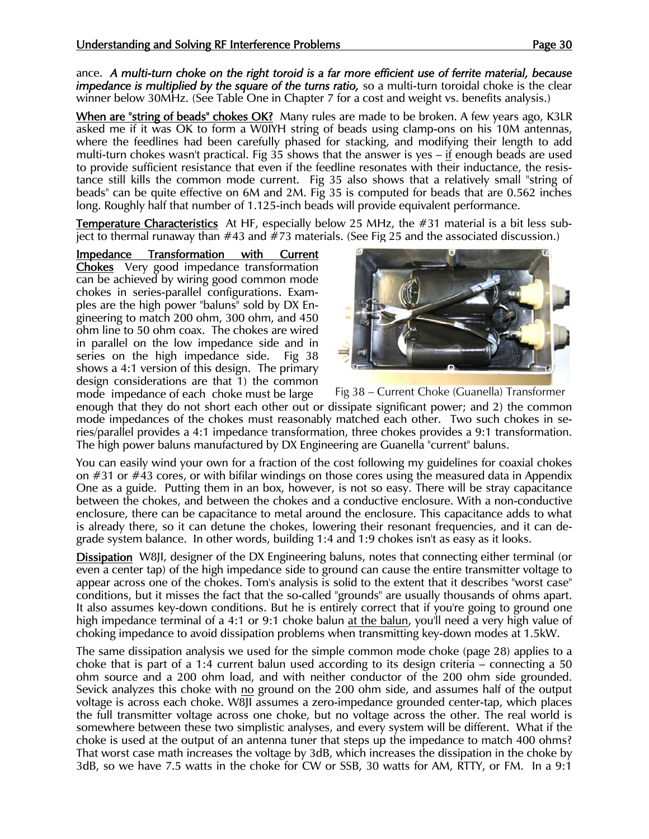ance. *A multi-turn choke on the right toroid is a far more efficient use of ferrite material, because impedance is multiplied by the square of the turns ratio, so a multi-turn toroidal choke is the clear* winner below 30MHz. (See Table One in Chapter 7 for a cost and weight vs. benefits analysis.)

When are "string of beads" chokes OK? Many rules are made to be broken. A few years ago, K3LR asked me if it was OK to form a W0IYH string of beads using clamp-ons on his 10M antennas, where the feedlines had been carefully phased for stacking, and modifying their length to add multi-turn chokes wasn't practical. Fig 35 shows that the answer is yes – if enough beads are used to provide sufficient resistance that even if the feedline resonates with their inductance, the resistance still kills the common mode current. Fig 35 also shows that a relatively small "string of beads" can be quite effective on 6M and 2M. Fig 35 is computed for beads that are 0.562 inches long. Roughly half that number of 1.125-inch beads will provide equivalent performance.

Temperature Characteristics At HF, especially below 25 MHz, the #31 material is a bit less subject to thermal runaway than #43 and #73 materials. (See Fig 25 and the associated discussion.)

Impedance Transformation with Current Chokes Very good impedance transformation can be achieved by wiring good common mode chokes in series-parallel configurations. Examples are the high power "baluns" sold by DX Engineering to match 200 ohm, 300 ohm, and 450 ohm line to 50 ohm coax. The chokes are wired in parallel on the low impedance side and in series on the high impedance side. Fig 38 shows a 4:1 version of this design. The primary design considerations are that 1) the common mode impedance of each choke must be large Fig 38 – Current Choke (Guanella) Transformer



enough that they do not short each other out or dissipate significant power; and 2) the common mode impedances of the chokes must reasonably matched each other. Two such chokes in series/parallel provides a 4:1 impedance transformation, three chokes provides a 9:1 transformation. The high power baluns manufactured by DX Engineering are Guanella "current" baluns.

You can easily wind your own for a fraction of the cost following my guidelines for coaxial chokes on  $#31$  or  $#43$  cores, or with bifilar windings on those cores using the measured data in Appendix One as a guide. Putting them in an box, however, is not so easy. There will be stray capacitance between the chokes, and between the chokes and a conductive enclosure. With a non-conductive enclosure, there can be capacitance to metal around the enclosure. This capacitance adds to what is already there, so it can detune the chokes, lowering their resonant frequencies, and it can degrade system balance. In other words, building 1:4 and 1:9 chokes isn't as easy as it looks.

Dissipation W8JI, designer of the DX Engineering baluns, notes that connecting either terminal (or even a center tap) of the high impedance side to ground can cause the entire transmitter voltage to appear across one of the chokes. Tom's analysis is solid to the extent that it describes "worst case" conditions, but it misses the fact that the so-called "grounds" are usually thousands of ohms apart. It also assumes key-down conditions. But he is entirely correct that if you're going to ground one high impedance terminal of a 4:1 or 9:1 choke balun at the balun, you'll need a very high value of choking impedance to avoid dissipation problems when transmitting key-down modes at 1.5kW.

The same dissipation analysis we used for the simple common mode choke (page 28) applies to a choke that is part of a 1:4 current balun used according to its design criteria – connecting a 50 ohm source and a 200 ohm load, and with neither conductor of the 200 ohm side grounded. Sevick analyzes this choke with no ground on the 200 ohm side, and assumes half of the output voltage is across each choke. W8JI assumes a zero-impedance grounded center-tap, which places the full transmitter voltage across one choke, but no voltage across the other. The real world is somewhere between these two simplistic analyses, and every system will be different. What if the choke is used at the output of an antenna tuner that steps up the impedance to match 400 ohms? That worst case math increases the voltage by 3dB, which increases the dissipation in the choke by 3dB, so we have 7.5 watts in the choke for CW or SSB, 30 watts for AM, RTTY, or FM. In a 9:1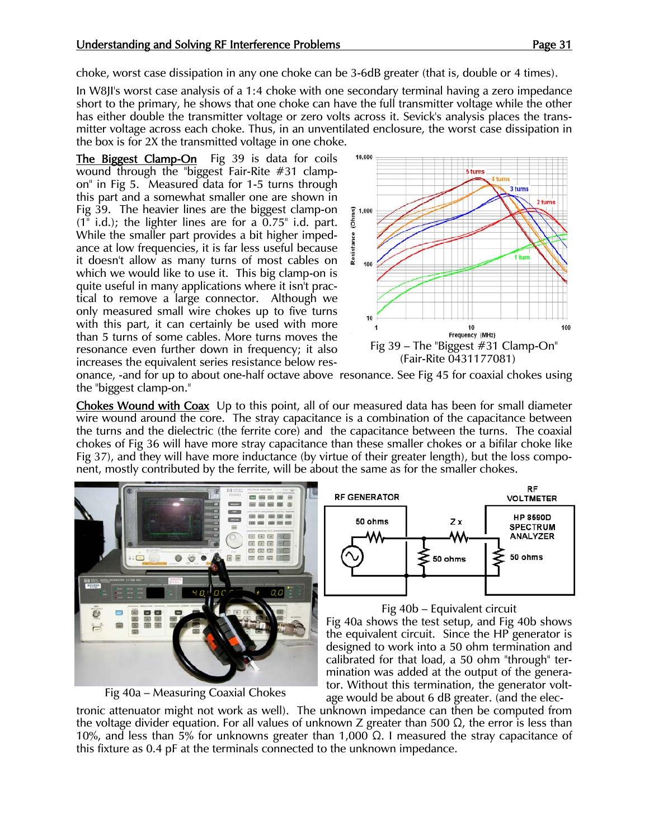choke, worst case dissipation in any one choke can be 3-6dB greater (that is, double or 4 times).

In W8JI's worst case analysis of a 1:4 choke with one secondary terminal having a zero impedance short to the primary, he shows that one choke can have the full transmitter voltage while the other has either double the transmitter voltage or zero volts across it. Sevick's analysis places the transmitter voltage across each choke. Thus, in an unventilated enclosure, the worst case dissipation in the box is for 2X the transmitted voltage in one choke.

The Biggest Clamp-On Fig 39 is data for coils wound through the "biggest Fair-Rite #31 clampon" in Fig 5. Measured data for 1-5 turns through this part and a somewhat smaller one are shown in Fig 39. The heavier lines are the biggest clamp-on  $(1" i.d.)$ ; the lighter lines are for a  $0.75" i.d.$  part. While the smaller part provides a bit higher impedance at low frequencies, it is far less useful because it doesn't allow as many turns of most cables on which we would like to use it. This big clamp-on is quite useful in many applications where it isn't practical to remove a large connector. Although we only measured small wire chokes up to five turns with this part, it can certainly be used with more than 5 turns of some cables. More turns moves the resonance even further down in frequency; it also increases the equivalent series resistance below res-



onance, -and for up to about one-half octave above resonance. See Fig 45 for coaxial chokes using the "biggest clamp-on."

Chokes Wound with Coax Up to this point, all of our measured data has been for small diameter wire wound around the core. The stray capacitance is a combination of the capacitance between the turns and the dielectric (the ferrite core) and the capacitance between the turns. The coaxial chokes of Fig 36 will have more stray capacitance than these smaller chokes or a bifilar choke like Fig 37), and they will have more inductance (by virtue of their greater length), but the loss component, mostly contributed by the ferrite, will be about the same as for the smaller chokes.







## Fig 40b – Equivalent circuit

Fig 40a shows the test setup, and Fig 40b shows the equivalent circuit. Since the HP generator is designed to work into a 50 ohm termination and calibrated for that load, a 50 ohm "through" termination was added at the output of the generator. Without this termination, the generator voltage would be about 6 dB greater. (and the elec-

tronic attenuator might not work as well). The unknown impedance can then be computed from the voltage divider equation. For all values of unknown Z greater than 500  $\Omega$ , the error is less than 10%, and less than 5% for unknowns greater than 1,000  $\Omega$ . I measured the stray capacitance of this fixture as 0.4 pF at the terminals connected to the unknown impedance.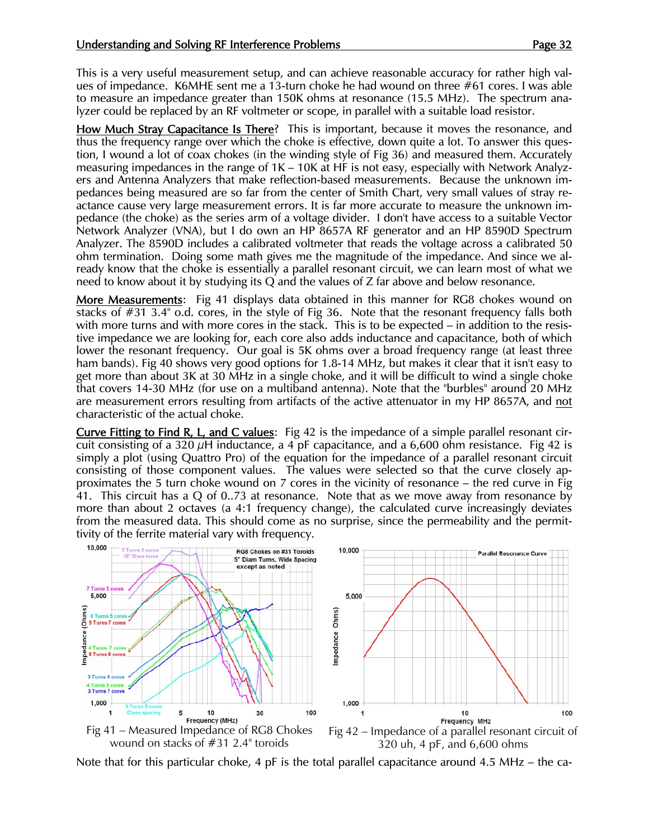This is a very useful measurement setup, and can achieve reasonable accuracy for rather high values of impedance. K6MHE sent me a 13-turn choke he had wound on three #61 cores. I was able to measure an impedance greater than 150K ohms at resonance (15.5 MHz). The spectrum analyzer could be replaced by an RF voltmeter or scope, in parallel with a suitable load resistor.

How Much Stray Capacitance Is There? This is important, because it moves the resonance, and thus the frequency range over which the choke is effective, down quite a lot. To answer this question, I wound a lot of coax chokes (in the winding style of Fig 36) and measured them. Accurately measuring impedances in the range of 1K – 10K at HF is not easy, especially with Network Analyzers and Antenna Analyzers that make reflection-based measurements. Because the unknown impedances being measured are so far from the center of Smith Chart, very small values of stray reactance cause very large measurement errors. It is far more accurate to measure the unknown impedance (the choke) as the series arm of a voltage divider. I don't have access to a suitable Vector Network Analyzer (VNA), but I do own an HP 8657A RF generator and an HP 8590D Spectrum Analyzer. The 8590D includes a calibrated voltmeter that reads the voltage across a calibrated 50 ohm termination. Doing some math gives me the magnitude of the impedance. And since we already know that the choke is essentially a parallel resonant circuit, we can learn most of what we need to know about it by studying its Q and the values of Z far above and below resonance.

More Measurements: Fig 41 displays data obtained in this manner for RG8 chokes wound on stacks of #31 3.4" o.d. cores, in the style of Fig 36. Note that the resonant frequency falls both with more turns and with more cores in the stack. This is to be expected – in addition to the resistive impedance we are looking for, each core also adds inductance and capacitance, both of which lower the resonant frequency. Our goal is 5K ohms over a broad frequency range (at least three ham bands). Fig 40 shows very good options for 1.8-14 MHz, but makes it clear that it isn't easy to get more than about 3K at 30 MHz in a single choke, and it will be difficult to wind a single choke that covers 14-30 MHz (for use on a multiband antenna). Note that the "burbles" around 20 MHz are measurement errors resulting from artifacts of the active attenuator in my HP 8657A, and not characteristic of the actual choke.

Curve Fitting to Find R, L, and C values: Fig 42 is the impedance of a simple parallel resonant circuit consisting of a 320  $\mu$ H inductance, a 4 pF capacitance, and a 6,600 ohm resistance. Fig 42 is simply a plot (using Quattro Pro) of the equation for the impedance of a parallel resonant circuit consisting of those component values. The values were selected so that the curve closely approximates the 5 turn choke wound on 7 cores in the vicinity of resonance – the red curve in Fig 41. This circuit has a Q of 0..73 at resonance. Note that as we move away from resonance by more than about 2 octaves (a 4:1 frequency change), the calculated curve increasingly deviates from the measured data. This should come as no surprise, since the permeability and the permittivity of the ferrite material vary with frequency.



Note that for this particular choke, 4 pF is the total parallel capacitance around 4.5 MHz – the ca-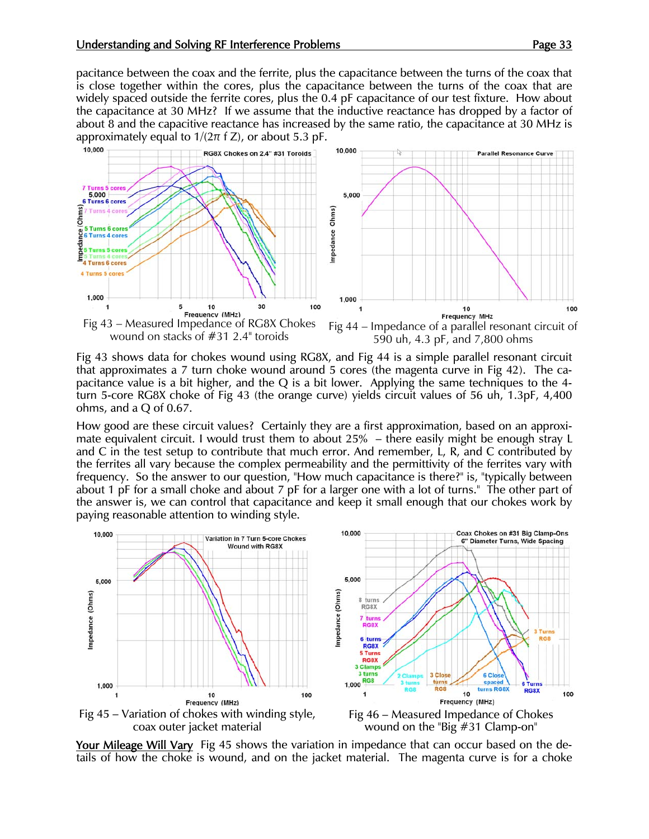pacitance between the coax and the ferrite, plus the capacitance between the turns of the coax that is close together within the cores, plus the capacitance between the turns of the coax that are widely spaced outside the ferrite cores, plus the 0.4 pF capacitance of our test fixture. How about the capacitance at 30 MHz? If we assume that the inductive reactance has dropped by a factor of about 8 and the capacitive reactance has increased by the same ratio, the capacitance at 30 MHz is approximately equal to  $1/(2\pi f Z)$ , or about 5.3 pF.



Fig 43 shows data for chokes wound using RG8X, and Fig 44 is a simple parallel resonant circuit that approximates a 7 turn choke wound around 5 cores (the magenta curve in Fig 42). The capacitance value is a bit higher, and the Q is a bit lower. Applying the same techniques to the 4 turn 5-core RG8X choke of Fig 43 (the orange curve) yields circuit values of 56 uh, 1.3pF, 4,400 ohms, and a Q of 0.67.

How good are these circuit values? Certainly they are a first approximation, based on an approximate equivalent circuit. I would trust them to about 25% – there easily might be enough stray L and C in the test setup to contribute that much error. And remember, L, R, and C contributed by the ferrites all vary because the complex permeability and the permittivity of the ferrites vary with frequency. So the answer to our question, "How much capacitance is there?" is, "typically between about 1 pF for a small choke and about 7 pF for a larger one with a lot of turns." The other part of the answer is, we can control that capacitance and keep it small enough that our chokes work by paying reasonable attention to winding style.



Your Mileage Will Vary Fig 45 shows the variation in impedance that can occur based on the details of how the choke is wound, and on the jacket material. The magenta curve is for a choke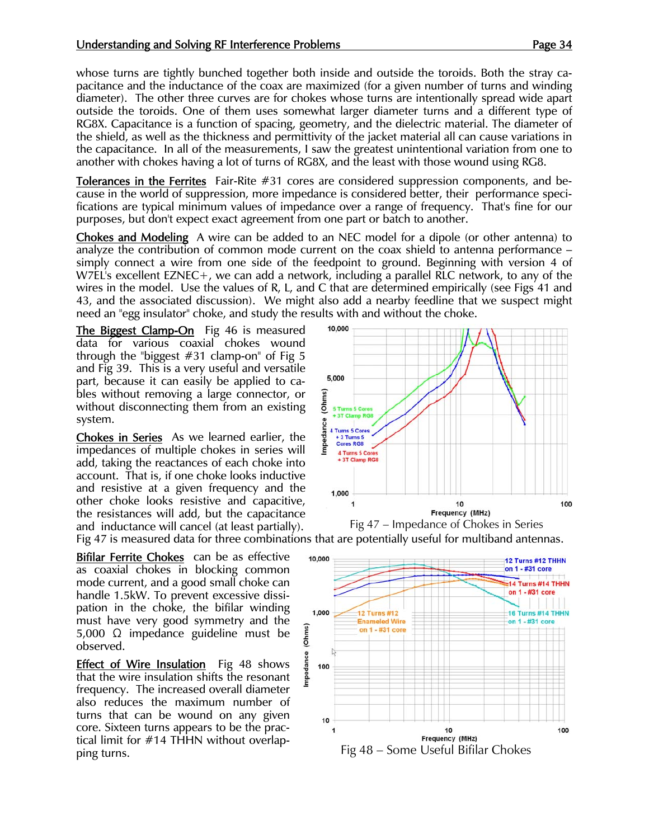## Understanding and Solving RF Interference Problems **Page 34** Page 34

whose turns are tightly bunched together both inside and outside the toroids. Both the stray capacitance and the inductance of the coax are maximized (for a given number of turns and winding diameter). The other three curves are for chokes whose turns are intentionally spread wide apart outside the toroids. One of them uses somewhat larger diameter turns and a different type of RG8X. Capacitance is a function of spacing, geometry, and the dielectric material. The diameter of the shield, as well as the thickness and permittivity of the jacket material all can cause variations in the capacitance. In all of the measurements, I saw the greatest unintentional variation from one to another with chokes having a lot of turns of RG8X, and the least with those wound using RG8.

Tolerances in the Ferrites Fair-Rite #31 cores are considered suppression components, and because in the world of suppression, more impedance is considered better, their performance specifications are typical minimum values of impedance over a range of frequency. That's fine for our purposes, but don't expect exact agreement from one part or batch to another.

Chokes and Modeling A wire can be added to an NEC model for a dipole (or other antenna) to analyze the contribution of common mode current on the coax shield to antenna performance – simply connect a wire from one side of the feedpoint to ground. Beginning with version 4 of W7EL's excellent EZNEC+, we can add a network, including a parallel RLC network, to any of the wires in the model. Use the values of R, L, and C that are determined empirically (see Figs 41 and 43, and the associated discussion). We might also add a nearby feedline that we suspect might need an "egg insulator" choke, and study the results with and without the choke.

The Biggest Clamp-On Fig 46 is measured data for various coaxial chokes wound through the "biggest  $#31$  clamp-on" of Fig 5 and Fig 39. This is a very useful and versatile part, because it can easily be applied to cables without removing a large connector, or without disconnecting them from an existing system.

Chokes in Series As we learned earlier, the impedances of multiple chokes in series will add, taking the reactances of each choke into account. That is, if one choke looks inductive and resistive at a given frequency and the other choke looks resistive and capacitive, the resistances will add, but the capacitance and inductance will cancel (at least partially). Fig 47 – Impedance of Chokes in Series

Bifilar Ferrite Chokes can be as effective as coaxial chokes in blocking common mode current, and a good small choke can handle 1.5kW. To prevent excessive dissipation in the choke, the bifilar winding must have very good symmetry and the 5,000 Ω impedance guideline must be observed.

**Effect of Wire Insulation** Fig 48 shows that the wire insulation shifts the resonant frequency. The increased overall diameter also reduces the maximum number of turns that can be wound on any given core. Sixteen turns appears to be the practical limit for #14 THHN without overlapping turns. The contract of the contract of the Fig 48 – Some Useful Bifilar Chokes